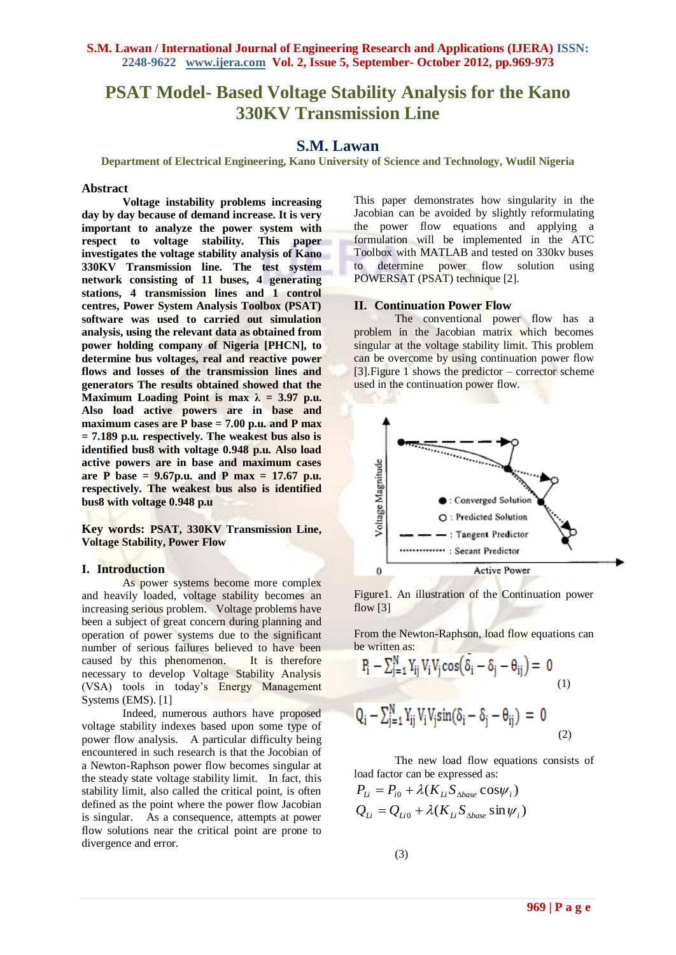# **PSAT Model- Based Voltage Stability Analysis for the Kano 330KV Transmission Line**

## **S.M. Lawan**

**Department of Electrical Engineering, Kano University of Science and Technology, Wudil Nigeria**

#### **Abstract**

**Voltage instability problems increasing day by day because of demand increase. It is very important to analyze the power system with respect to voltage stability. This paper investigates the voltage stability analysis of Kano 330KV Transmission line. The test system network consisting of 11 buses, 4 generating stations, 4 transmission lines and 1 control centres, Power System Analysis Toolbox (PSAT) software was used to carried out simulation analysis, using the relevant data as obtained from power holding company of Nigeria [PHCN], to determine bus voltages, real and reactive power flows and losses of the transmission lines and generators The results obtained showed that the**  Maximum Loading Point is max  $\lambda = 3.97$  p.u. **Also load active powers are in base and maximum cases are P base = 7.00 p.u. and P max = 7.189 p.u. respectively. The weakest bus also is identified bus8 with voltage 0.948 p.u. Also load active powers are in base and maximum cases**  are **P** base =  $9.67$ p.u. and **P** max = 17.67 p.u. **respectively. The weakest bus also is identified bus8 with voltage 0.948 p.u**

**Key words: PSAT, 330KV Transmission Line, Voltage Stability, Power Flow**

#### **I. Introduction**

As power systems become more complex and heavily loaded, voltage stability becomes an increasing serious problem. Voltage problems have been a subject of great concern during planning and operation of power systems due to the significant number of serious failures believed to have been caused by this phenomenon. It is therefore necessary to develop Voltage Stability Analysis (VSA) tools in today"s Energy Management Systems (EMS). [1]

Indeed, numerous authors have proposed voltage stability indexes based upon some type of power flow analysis. A particular difficulty being encountered in such research is that the Jocobian of a Newton-Raphson power flow becomes singular at the steady state voltage stability limit. In fact, this stability limit, also called the critical point, is often defined as the point where the power flow Jacobian is singular. As a consequence, attempts at power flow solutions near the critical point are prone to divergence and error.

This paper demonstrates how singularity in the Jacobian can be avoided by slightly reformulating the power flow equations and applying a formulation will be implemented in the ATC Toolbox with MATLAB and tested on 330kv buses to determine power flow solution using POWERSAT (PSAT) technique [2].

#### **II. Continuation Power Flow**

The conventional power flow has a problem in the Jacobian matrix which becomes singular at the voltage stability limit. This problem can be overcome by using continuation power flow [3].Figure 1 shows the predictor – corrector scheme used in the continuation power flow.



Figure1. An illustration of the Continuation power flow [3]

From the Newton-Raphson, load flow equations can be written as:

$$
P_i - \sum_{j=1}^{N} Y_{ij} V_j V_j \cos(\delta_i - \delta_j - \theta_{ij}) = 0
$$
  

$$
Q_i - \sum_{j=1}^{N} Y_{ij} V_j V_j \sin(\delta_i - \delta_j - \theta_{ij}) = 0
$$
 (2)

The new load flow equations consists of load factor can be expressed as:

$$
P_{Li} = P_{i0} + \lambda (K_{Li} S_{\Delta base} \cos \psi_i)
$$
  
\n
$$
Q_{Li} = Q_{Li0} + \lambda (K_{Li} S_{\Delta base} \sin \psi_i)
$$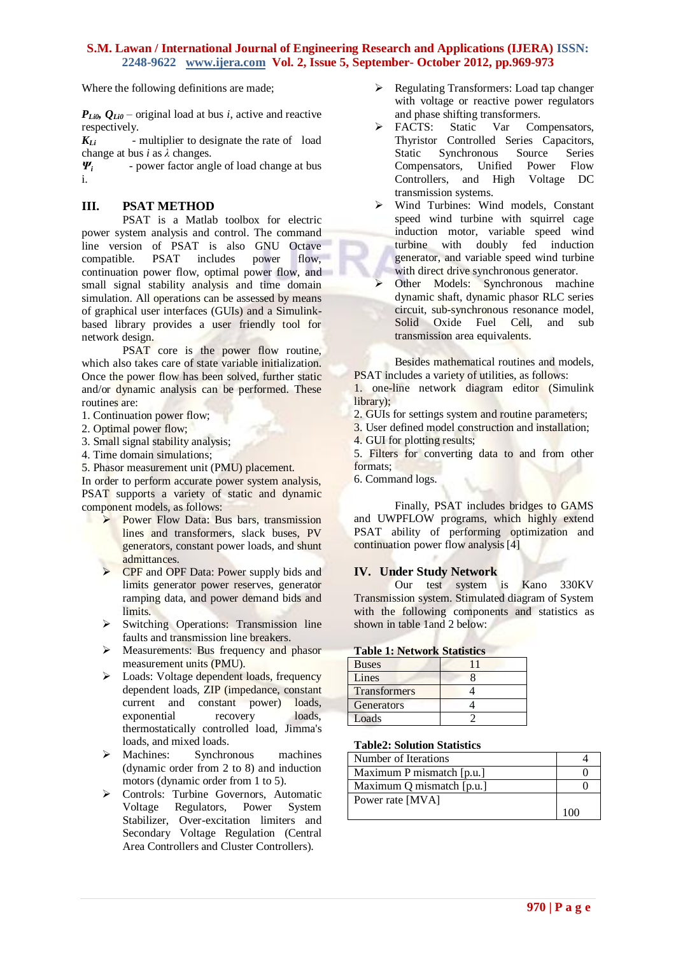Where the following definitions are made;

 $P_{Li0}$ ,  $Q_{Li0}$  – original load at bus *i*, active and reactive respectively.

 $K_{Li}$  - multiplier to designate the rate of load change at bus *i* as *λ* changes.

*Ψi* - power factor angle of load change at bus i.

## **III. PSAT METHOD**

PSAT is a Matlab toolbox for electric power system analysis and control. The command line version of PSAT is also GNU Octave compatible. PSAT includes power flow, continuation power flow, optimal power flow, and small signal stability analysis and time domain simulation. All operations can be assessed by means of graphical user interfaces (GUIs) and a Simulinkbased library provides a user friendly tool for network design.

PSAT core is the power flow routine, which also takes care of state variable initialization. Once the power flow has been solved, further static and/or dynamic analysis can be performed. These routines are:

- 1. Continuation power flow;
- 2. Optimal power flow;
- 3. Small signal stability analysis;
- 4. Time domain simulations;
- 5. Phasor measurement unit (PMU) placement.

In order to perform accurate power system analysis, PSAT supports a variety of static and dynamic component models, as follows:

- Power Flow Data: Bus bars, transmission lines and transformers, slack buses, PV generators, constant power loads, and shunt admittances.
- CPF and OPF Data: Power supply bids and limits generator power reserves, generator ramping data, and power demand bids and limits.
- $\triangleright$  Switching Operations: Transmission line faults and transmission line breakers.
- Measurements: Bus frequency and phasor measurement units (PMU).
- > Loads: Voltage dependent loads, frequency dependent loads, ZIP (impedance, constant current and constant power) loads, exponential recovery loads, thermostatically controlled load, Jimma's loads, and mixed loads.
- > Machines: Synchronous machines (dynamic order from 2 to 8) and induction motors (dynamic order from 1 to 5).
- Controls: Turbine Governors, Automatic Voltage Regulators, Power System Stabilizer, Over-excitation limiters and Secondary Voltage Regulation (Central Area Controllers and Cluster Controllers).
- Regulating Transformers: Load tap changer with voltage or reactive power regulators and phase shifting transformers.
- > FACTS: Static Var Compensators, Thyristor Controlled Series Capacitors, Static Synchronous Source Series Compensators, Unified Power Flow Controllers, and High Voltage DC transmission systems.
- Wind Turbines: Wind models, Constant speed wind turbine with squirrel cage induction motor, variable speed wind turbine with doubly fed induction generator, and variable speed wind turbine with direct drive synchronous generator.
- Other Models: Synchronous machine dynamic shaft, dynamic phasor RLC series circuit, sub-synchronous resonance model, Solid Oxide Fuel Cell, and sub transmission area equivalents.

Besides mathematical routines and models, PSAT includes a variety of utilities, as follows:

1. one-line network diagram editor (Simulink library);

2. GUIs for settings system and routine parameters;

3. User defined model construction and installation;

4. GUI for plotting results;

5. Filters for converting data to and from other formats;

6. Command logs.

Finally, PSAT includes bridges to GAMS and UWPFLOW programs, which highly extend PSAT ability of performing optimization and continuation power flow analysis [4]

## **IV. Under Study Network**

Our test system is Kano 330KV Transmission system. Stimulated diagram of System with the following components and statistics as shown in table 1and 2 below:

## **Table 1: Network Statistics**

| <b>Buses</b>        |  |
|---------------------|--|
| Lines               |  |
| <b>Transformers</b> |  |
| Generators          |  |
| Loads               |  |

#### **Table2: Solution Statistics**

| Number of Iterations      |  |
|---------------------------|--|
| Maximum P mismatch [p.u.] |  |
| Maximum Q mismatch [p.u.] |  |
| Power rate [MVA]          |  |
|                           |  |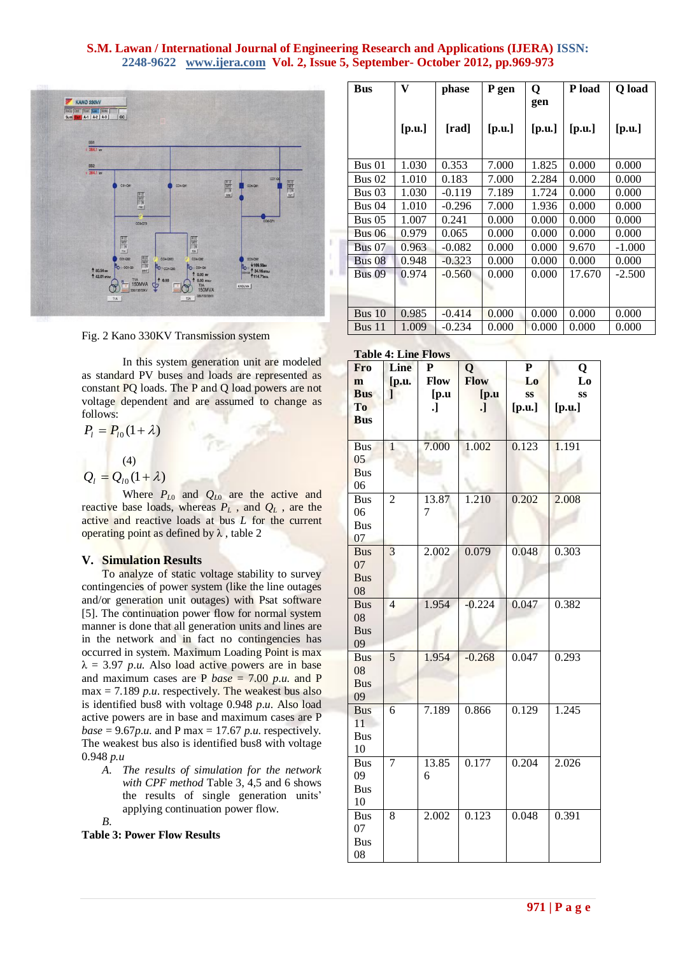

Fig. 2 Kano 330KV Transmission system

In this system generation unit are modeled as standard PV buses and loads are represented as constant PQ loads. The P and Q load powers are not voltage dependent and are assumed to change as follows:

$$
P_l = P_{l0}(1+\lambda)
$$

$$
Q_l = Q_{l0}(1+\lambda)
$$

Where  $P_{L0}$  and  $Q_{L0}$  are the active and reactive base loads, whereas  $P_L$ , and  $Q_L$ , are the active and reactive loads at bus *L* for the current operating point as defined by  $\lambda$ , table 2

#### **V. Simulation Results**

To analyze of static voltage stability to survey contingencies of power system (like the line outages and/or generation unit outages) with Psat software [5]. The continuation power flow for normal system manner is done that all generation units and lines are in the network and in fact no contingencies has occurred in system. Maximum Loading Point is max  $\lambda = 3.97$  *p.u.* Also load active powers are in base and maximum cases are P *base* = 7.00 *p.u.* and P  $max = 7.189$  *p.u.* respectively. The weakest bus also is identified bus8 with voltage 0.948 *p*.*u*. Also load active powers are in base and maximum cases are P  $base = 9.67p.u.$  and P max = 17.67 *p.u.* respectively. The weakest bus also is identified bus8 with voltage 0.948 *p.u*

*A. The results of simulation for the network with CPF method* Table 3, 4,5 and 6 shows the results of single generation units' applying continuation power flow.

*B.*

**Table 3: Power Flow Results**

| <b>Bus</b>    | V      | phase    | P gen  | O<br>gen | P load | O load   |
|---------------|--------|----------|--------|----------|--------|----------|
|               | [p.u.] | [rad]    | [p.u.] | [p.u.]   | [p.u.] | [p.u.]   |
| Bus 01        | 1.030  | 0.353    | 7.000  | 1.825    | 0.000  | 0.000    |
| <b>Bus 02</b> | 1.010  | 0.183    | 7.000  | 2.284    | 0.000  | 0.000    |
| Bus $03$      | 1.030  | $-0.119$ | 7.189  | 1.724    | 0.000  | 0.000    |
| Bus 04        | 1.010  | $-0.296$ | 7.000  | 1.936    | 0.000  | 0.000    |
| Bus $05$      | 1.007  | 0.241    | 0.000  | 0.000    | 0.000  | 0.000    |
| Bus $06$      | 0.979  | 0.065    | 0.000  | 0.000    | 0.000  | 0.000    |
| <b>Bus 07</b> | 0.963  | $-0.082$ | 0.000  | 0.000    | 9.670  | $-1.000$ |
| $Bus$ 08      | 0.948  | $-0.323$ | 0.000  | 0.000    | 0.000  | 0.000    |
| <b>Bus 09</b> | 0.974  | $-0.560$ | 0.000  | 0.000    | 17.670 | $-2.500$ |
| Bus $10$      | 0.985  | $-0.414$ | 0.000  | 0.000    | 0.000  | 0.000    |
| Bus $11$      | 1.009  | $-0.234$ | 0.000  | 0.000    | 0.000  | 0.000    |

#### **Table 4: Line Flows**

| Fro          | Line           | ${\bf P}$ | Q        | $\mathbf{P}$ | Q                      |
|--------------|----------------|-----------|----------|--------------|------------------------|
| $\mathbf{m}$ | [p.u.          | Flow      | Flow     | Lo           | $\mathbf{L}\mathbf{0}$ |
| <b>Bus</b>   | T              | [p.u]     | [p.u]    | SS           | SS                     |
| To           |                | $\cdot$ ] | $\cdot$  | [p.u.]       | [p.u.]                 |
| <b>Bus</b>   |                |           |          |              |                        |
|              |                |           |          |              |                        |
| <b>Bus</b>   | $\overline{1}$ | 7.000     | 1.002    | 0.123        | 1.191                  |
| 05           |                |           |          |              |                        |
| <b>Bus</b>   |                |           |          |              |                        |
| 06           |                |           |          |              |                        |
| <b>Bus</b>   | $\overline{c}$ | 13.87     | 1.210    | 0.202        | 2.008                  |
| 06           |                | 7         |          |              |                        |
| <b>Bus</b>   |                |           |          |              |                        |
| 07           |                |           |          |              |                        |
| <b>Bus</b>   | $\overline{3}$ | 2.002     | 0.079    | 0.048        | 0.303                  |
| 07           |                |           |          |              |                        |
| <b>Bus</b>   |                |           |          |              |                        |
| 08           |                |           |          |              |                        |
| <b>Bus</b>   | $\overline{4}$ | 1.954     | $-0.224$ | 0.047        | 0.382                  |
| 08           |                |           |          |              |                        |
| <b>Bus</b>   |                |           |          |              |                        |
| 09           |                |           |          |              |                        |
| <b>Bus</b>   | 5              | 1.954     | $-0.268$ | 0.047        | 0.293                  |
| 08           |                |           |          |              |                        |
| <b>Bus</b>   |                |           |          |              |                        |
| 09           |                |           |          |              |                        |
| <b>Bus</b>   | 6              | 7.189     | 0.866    | 0.129        | 1.245                  |
| 11           |                |           |          |              |                        |
| <b>Bus</b>   |                |           |          |              |                        |
| 10           |                |           |          |              |                        |
| <b>Bus</b>   | $\overline{7}$ | 13.85     | 0.177    | 0.204        | 2.026                  |
| 09           |                | 6         |          |              |                        |
| <b>Bus</b>   |                |           |          |              |                        |
| 10           |                |           |          |              |                        |
| <b>Bus</b>   | 8              | 2.002     | 0.123    | 0.048        | 0.391                  |
| 07           |                |           |          |              |                        |
| <b>Bus</b>   |                |           |          |              |                        |
| 08           |                |           |          |              |                        |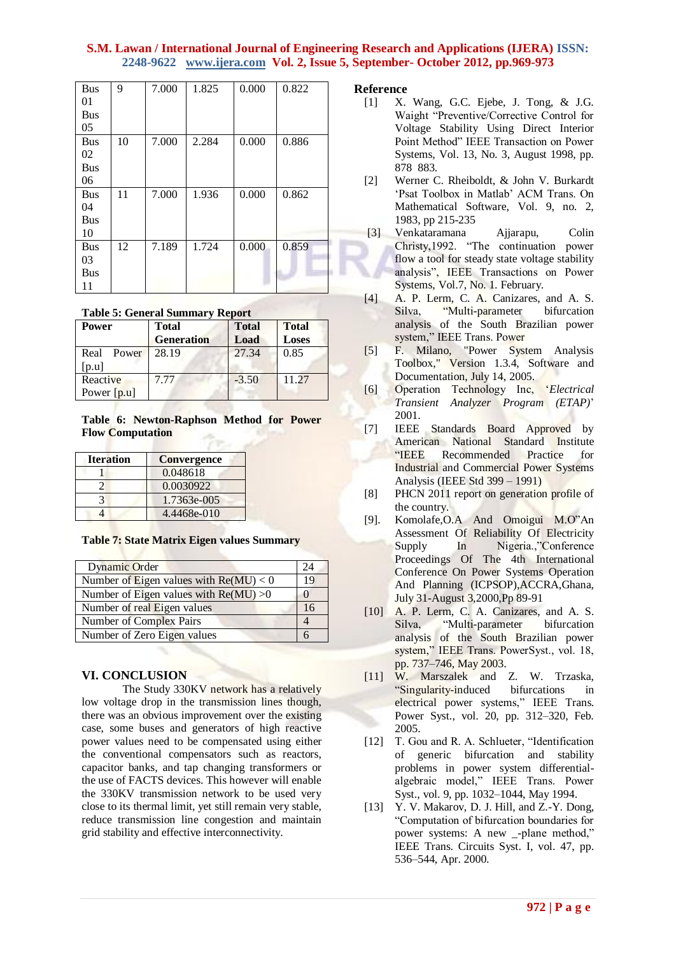| <b>Bus</b> | 9  | 7.000 | 1.825 | 0.000 | 0.822 |
|------------|----|-------|-------|-------|-------|
| 01         |    |       |       |       |       |
| <b>Bus</b> |    |       |       |       |       |
| 05         |    |       |       |       |       |
| <b>Bus</b> | 10 | 7.000 | 2.284 | 0.000 | 0.886 |
| 02         |    |       |       |       |       |
| <b>Bus</b> |    |       |       |       |       |
| 06         |    |       |       |       |       |
| <b>Bus</b> | 11 | 7.000 | 1.936 | 0.000 | 0.862 |
| 04         |    |       |       |       |       |
| <b>Bus</b> |    |       |       |       |       |
| 10         |    |       |       |       |       |
| <b>Bus</b> | 12 | 7.189 | 1.724 | 0.000 | 0.859 |
| 03         |    |       |       |       |       |
| <b>Bus</b> |    |       |       |       |       |
| 11         |    |       |       |       |       |

**Table 5: General Summary Report**

| Power       | <b>Total</b>      | <b>Total</b> | <b>Total</b> |
|-------------|-------------------|--------------|--------------|
|             | <b>Generation</b> | Load         | Loses        |
| Real Power  | 28.19             | 27.34        | 0.85         |
| [p.u]       |                   |              |              |
| Reactive    | 7.77              | $-3.50$      | 11.27        |
| Power [p.u] |                   |              |              |

**Table 6: Newton-Raphson Method for Power Flow Computation**

| <b>Iteration</b> | Convergence |
|------------------|-------------|
|                  | 0.048618    |
|                  | 0.0030922   |
|                  | 1.7363e-005 |
|                  | 4.4468e-010 |

**Table 7: State Matrix Eigen values Summary**

| <b>Dynamic Order</b>                     | 24 |
|------------------------------------------|----|
| Number of Eigen values with $Re(MU) < 0$ | 19 |
| Number of Eigen values with $Re(MU) > 0$ |    |
| Number of real Eigen values              | 16 |
| Number of Complex Pairs                  |    |
| Number of Zero Eigen values              |    |

## **VI. CONCLUSION**

The Study 330KV network has a relatively low voltage drop in the transmission lines though, there was an obvious improvement over the existing case, some buses and generators of high reactive power values need to be compensated using either the conventional compensators such as reactors, capacitor banks, and tap changing transformers or the use of FACTS devices. This however will enable the 330KV transmission network to be used very close to its thermal limit, yet still remain very stable, reduce transmission line congestion and maintain grid stability and effective interconnectivity.

### **Reference**

- [1] X. Wang, G.C. Ejebe, J. Tong, & J.G. Waight "Preventive/Corrective Control for Voltage Stability Using Direct Interior Point Method" IEEE Transaction on Power Systems, Vol. 13, No. 3, August 1998, pp. 878 883.
- [2] Werner C. Rheiboldt, & John V. Burkardt "Psat Toolbox in Matlab" ACM Trans. On Mathematical Software, Vol. 9, no. 2, 1983, pp 215-235
- [3] Venkataramana Ajjarapu, Colin Christy,1992. "The continuation power flow a tool for steady state voltage stability analysis", IEEE Transactions on Power Systems, Vol.7, No. 1. February.
- [4] A. P. Lerm, C. A. Canizares, and A. S. Silva, "Multi-parameter bifurcation analysis of the South Brazilian power system," IEEE Trans. Power
- [5] F. Milano, "Power System Analysis Toolbox," Version 1.3.4, Software and Documentation, July 14, 2005.
- [6] Operation Technology Inc, "*Electrical Transient Analyzer Program (ETAP)*" 2001.
- [7] IEEE Standards Board Approved by American National Standard Institute "IEEE Recommended Practice for Industrial and Commercial Power Systems Analysis (IEEE Std 399 – 1991)
- [8] PHCN 2011 report on generation profile of the country.
- [9]. Komolafe,O.A And Omoigui M.O"An Assessment Of Reliability Of Electricity Supply In Nigeria.,"Conference Proceedings Of The 4th International Conference On Power Systems Operation And Planning (ICPSOP),ACCRA,Ghana, July 31-August 3,2000,Pp 89-91
- [10] A. P. Lerm, C. A. Canizares, and A. S. Silva, "Multi-parameter bifurcation analysis of the South Brazilian power system," IEEE Trans. PowerSyst., vol. 18, pp. 737–746, May 2003.
- [11] W. Marszalek and Z. W. Trzaska, "Singularity-induced bifurcations in electrical power systems," IEEE Trans. Power Syst., vol. 20, pp. 312–320, Feb. 2005.
- [12] T. Gou and R. A. Schlueter, "Identification" of generic bifurcation and stability problems in power system differentialalgebraic model," IEEE Trans. Power Syst., vol. 9, pp. 1032–1044, May 1994.
- [13] Y. V. Makarov, D. J. Hill, and Z.-Y. Dong, "Computation of bifurcation boundaries for power systems: A new \_-plane method," IEEE Trans. Circuits Syst. I, vol. 47, pp. 536–544, Apr. 2000.